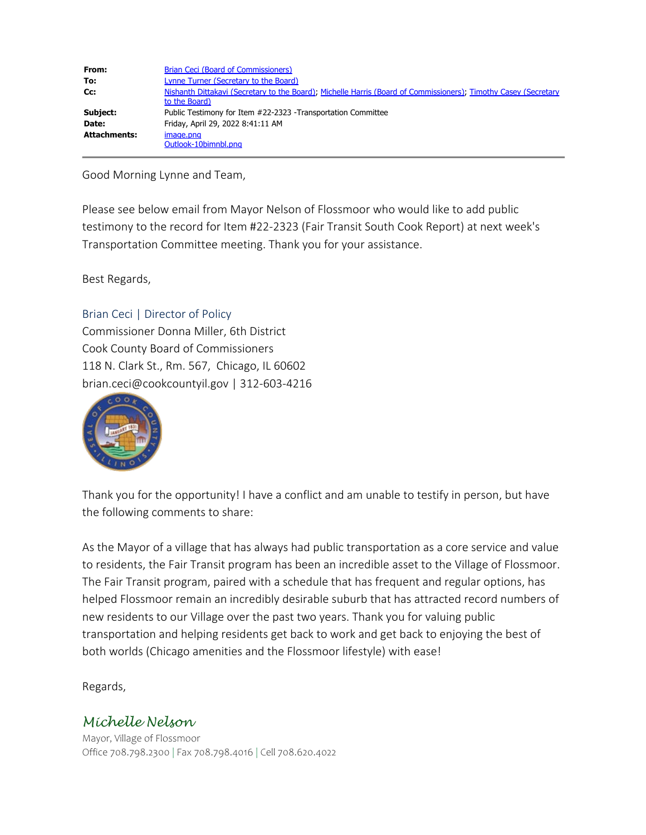| From:               | Brian Ceci (Board of Commissioners)                                                                                              |
|---------------------|----------------------------------------------------------------------------------------------------------------------------------|
| To:                 | Lynne Turner (Secretary to the Board)                                                                                            |
| Cc:                 | Nishanth Dittakavi (Secretary to the Board), Michelle Harris (Board of Commissioners), Timothy Casey (Secretary<br>to the Board) |
| Subject:            | Public Testimony for Item #22-2323 -Transportation Committee                                                                     |
| Date:               | Friday, April 29, 2022 8:41:11 AM                                                                                                |
| <b>Attachments:</b> | image.png                                                                                                                        |
|                     | Outlook-10bimnbl.png                                                                                                             |

Good Morning Lynne and Team,

Please see below email from Mayor Nelson of Flossmoor who would like to add public testimony to the record for Item #22-2323 (Fair Transit South Cook Report) at next week's Transportation Committee meeting. Thank you for your assistance.

Best Regards,

## Brian Ceci | Director of Policy

Commissioner Donna Miller, 6th District Cook County Board of Commissioners 118 N. Clark St., Rm. 567, Chicago, IL 60602 brian.ceci@cookcountyil.gov | 312-603-4216



Thank you for the opportunity! I have a conflict and am unable to testify in person, but have the following comments to share:

As the Mayor of a village that has always had public transportation as a core service and value to residents, the Fair Transit program has been an incredible asset to the Village of Flossmoor. The Fair Transit program, paired with a schedule that has frequent and regular options, has helped Flossmoor remain an incredibly desirable suburb that has attracted record numbers of new residents to our Village over the past two years. Thank you for valuing public transportation and helping residents get back to work and get back to enjoying the best of both worlds (Chicago amenities and the Flossmoor lifestyle) with ease!

Regards,

## *Michelle Nelson*

Mayor, Village of Flossmoor Office 708.798.2300 | Fax 708.798.4016 | Cell 708.620.4022